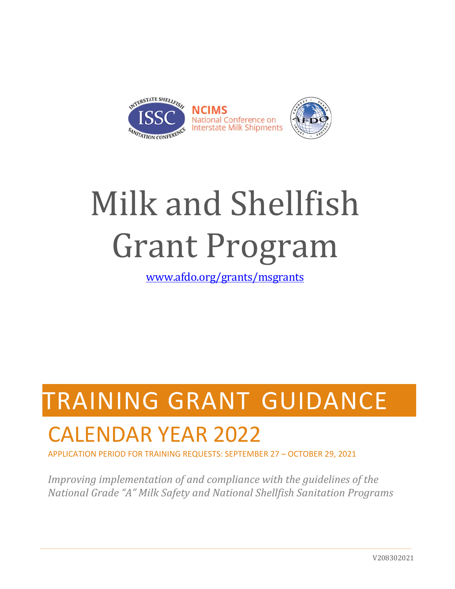

# Milk and Shellfish Grant Program

[www.afdo.org/grants/msgrants](http://www.afdo.org/grants/msgrants)

## TRAINING GRANT GUIDANCE

## CALENDAR YEAR 2022

APPLICATION PERIOD FOR TRAINING REQUESTS: SEPTEMBER 27 – OCTOBER 29, 2021

*Improving implementation of and compliance with the guidelines of the National Grade "A" Milk Safety and National Shellfish Sanitation Programs*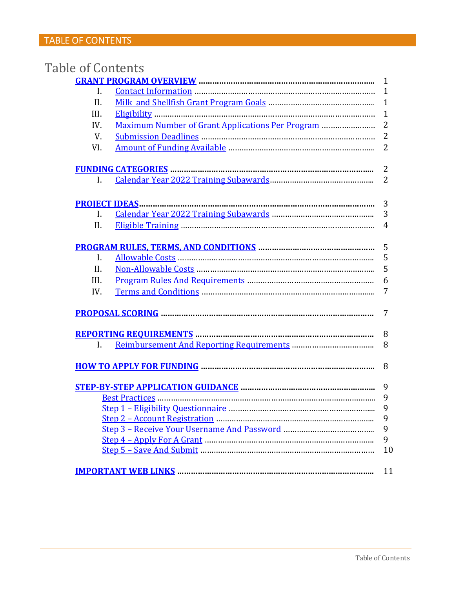| Table of Contents |                                                  |                |
|-------------------|--------------------------------------------------|----------------|
|                   |                                                  | $\mathbf{1}$   |
| I.                |                                                  | $\mathbf{1}$   |
| II.               |                                                  | $\mathbf{1}$   |
| III.              |                                                  | $\mathbf{1}$   |
| IV.               | Maximum Number of Grant Applications Per Program | $\overline{2}$ |
| V.                |                                                  | $\overline{2}$ |
| VI.               |                                                  | $\overline{2}$ |
|                   |                                                  | $\overline{2}$ |
| Ι.                |                                                  | $\overline{2}$ |
|                   |                                                  | 3              |
| $\mathbf{I}$ .    |                                                  | 3              |
| II.               |                                                  | 4              |
|                   |                                                  | 5              |
| I.                |                                                  | 5              |
| II.               |                                                  | 5              |
| III.              |                                                  | 6              |
| IV.               |                                                  | 7              |
|                   |                                                  | 7              |
|                   |                                                  | 8              |
| I.                |                                                  | 8              |
|                   |                                                  | 8              |
|                   |                                                  | 9              |
|                   |                                                  |                |
|                   |                                                  | 9              |
|                   |                                                  | 9              |
|                   |                                                  | 9              |
|                   |                                                  | 9              |
|                   |                                                  | 10             |
|                   |                                                  | 11             |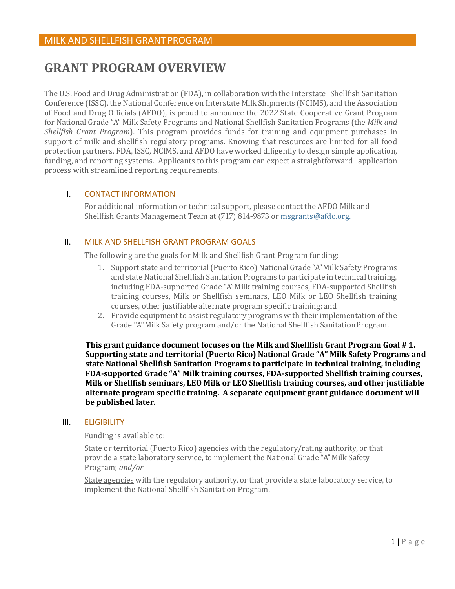### <span id="page-2-0"></span>**GRANT PROGRAM OVERVIEW**

The U.S. Food and Drug Administration (FDA), in collaboration with the Interstate Shellfish Sanitation Conference (ISSC), the National Conference on Interstate Milk Shipments (NCIMS), and the Association of Food and Drug Officials (AFDO), is proud to announce the 202*2* State Cooperative Grant Program for National Grade "A" Milk Safety Programs and National Shellfish Sanitation Programs (the *Milk and Shellfish Grant Program*). This program provides funds for training and equipment purchases in support of milk and shellfish regulatory programs. Knowing that resources are limited for all food protection partners, FDA, ISSC, NCIMS, and AFDO have worked diligently to design simple application, funding, and reporting systems. Applicants to this program can expect a straightforward application process with streamlined reporting requirements.

### <span id="page-2-1"></span>I. CONTACT INFORMATION

For additional information or technical support, please contact the AFDO Milk and Shellfish Grants Management Team at (717) 814-9873 or [msgrants@afdo.org.](mailto:msgrants@afdo.org)

### <span id="page-2-2"></span>II. MILK AND SHELLFISH GRANT PROGRAM GOALS

The following are the goals for Milk and Shellfish Grant Program funding:

- 1. Support state and territorial (Puerto Rico) National Grade "A" Milk Safety Programs and state National Shellfish Sanitation Programs to participate in technical training, including FDA-supported Grade "A" Milk training courses, FDA-supported Shellfish training courses, Milk or Shellfish seminars, LEO Milk or LEO Shellfish training courses, other justifiable alternate program specific training; and
- 2. Provide equipment to assist regulatory programs with their implementation of the Grade "A" Milk Safety program and/or the National Shellfish SanitationProgram.

**This grant guidance document focuses on the Milk and Shellfish Grant Program Goal # 1. Supporting state and territorial (Puerto Rico) National Grade "A" Milk Safety Programs and state National Shellfish Sanitation Programs to participate in technical training, including FDA-supported Grade "A" Milk training courses, FDA-supported Shellfish training courses, Milk or Shellfish seminars, LEO Milk or LEO Shellfish training courses, and other justifiable alternate program specific training. A separate equipment grant guidance document will be published later.**

#### <span id="page-2-3"></span>III. ELIGIBILITY

Funding is available to:

State or territorial (Puerto Rico) agencies with the regulatory/rating authority, or that provide a state laboratory service, to implement the National Grade "A" Milk Safety Program; *and/or*

State agencies with the regulatory authority, or that provide a state laboratory service, to implement the National Shellfish Sanitation Program.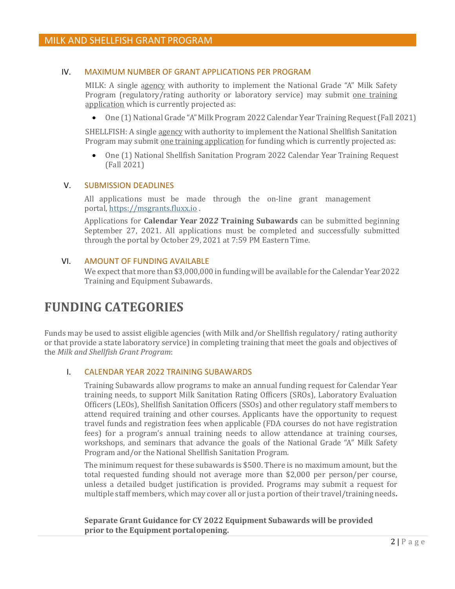### <span id="page-3-0"></span>IV. MAXIMUM NUMBER OF GRANT APPLICATIONS PER PROGRAM

MILK: A single agency with authority to implement the National Grade "A" Milk Safety Program (regulatory/rating authority or laboratory service) may submit one training application which is currently projected as:

• One (1) National Grade "A" Milk Program 2022 Calendar Year Training Request (Fall 2021)

SHELLFISH: A single agency with authority to implement the National Shellfish Sanitation Program may submit one training application for funding which is currently projected as:

• One (1) National Shellfish Sanitation Program 2022 Calendar Year Training Request (Fall 2021)

#### <span id="page-3-1"></span>V. SUBMISSION DEADLINES

All applications must be made through the on-line grant management portal, https://msgrants.fluxx.io .

Applications for **Calendar Year 202***2* **Training Subawards** can be submitted beginning September 27, 2021. All applications must be completed and successfully submitted through the portal by October 29, 2021 at 7:59 PM Eastern Time.

#### <span id="page-3-2"></span>VI. AMOUNT OF FUNDING AVAILABLE

We expect that more than \$3,000,000 in funding will be available for the Calendar Year 2022 Training and Equipment Subawards.

### <span id="page-3-3"></span>**FUNDING CATEGORIES**

Funds may be used to assist eligible agencies (with Milk and/or Shellfish regulatory/ rating authority or that provide a state laboratory service) in completing training that meet the goals and objectives of the *Milk and Shellfish Grant Program*:

#### I. CALENDAR YEAR 2022 TRAINING SUBAWARDS

Training Subawards allow programs to make an annual funding request for Calendar Year training needs, to support Milk Sanitation Rating Officers (SROs), Laboratory Evaluation Officers (LEOs), Shellfish Sanitation Officers (SSOs) and other regulatory staff members to attend required training and other courses. Applicants have the opportunity to request travel funds and registration fees when applicable (FDA courses do not have registration fees) for a program's annual training needs to allow attendance at training courses, workshops, and seminars that advance the goals of the National Grade "A" Milk Safety Program and/or the National Shellfish Sanitation Program.

The minimum request for these subawards is \$500. There is no maximum amount, but the total requested funding should not average more than \$2,000 per person/per course, unless a detailed budget justification is provided. Programs may submit a request for multiple staff members, which may cover all or just a portion of their travel/training needs**.**

**Separate Grant Guidance for CY 2022 Equipment Subawards will be provided prior to the Equipment portalopening.**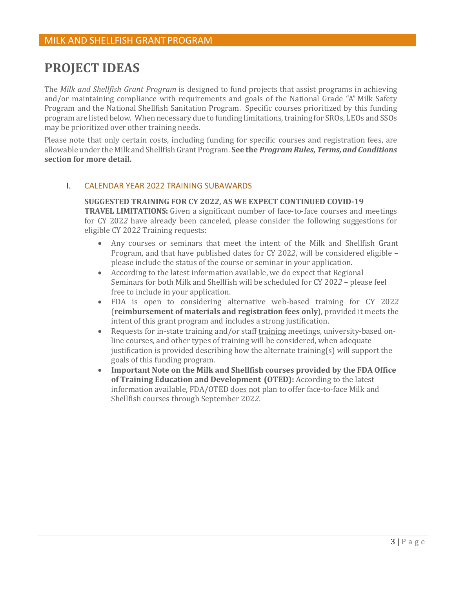### <span id="page-4-1"></span>**PROJECT IDEAS**

The *Milk and Shellfish Grant Program* is designed to fund projects that assist programs in achieving and/or maintaining compliance with requirements and goals of the National Grade "A" Milk Safety Program and the National Shellfish Sanitation Program. Specific courses prioritized by this funding program are listed below. When necessary due to funding limitations, training for SROs, LEOs and SSOs may be prioritized over other training needs.

Please note that only certain costs, including funding for specific courses and registration fees, are allowable under the Milk and Shellfish Grant Program. **See the** *Program Rules, Terms, and Conditions*  **section for more detail.**

#### <span id="page-4-0"></span>I. CALENDAR YEAR 2022 TRAINING SUBAWARDS

### **SUGGESTED TRAINING FOR CY 202***2***, AS WE EXPECT CONTINUED COVID-19 TRAVEL LIMITATIONS:** Given a significant number of face-to-face courses and meetings for CY 202*2* have already been canceled, please consider the following suggestions for eligible CY 202*2* Training requests:

- Any courses or seminars that meet the intent of the Milk and Shellfish Grant Program, and that have published dates for CY 202*2*, will be considered eligible – please include the status of the course or seminar in your application.
- According to the latest information available, we do expect that Regional Seminars for both Milk and Shellfish will be scheduled for CY 202*2* – please feel free to include in your application.
- FDA is open to considering alternative web-based training for CY 202*2*  (**reimbursement of materials and registration fees only**), provided it meets the intent of this grant program and includes a strong justification.
- Requests for in-state training and/or staff training meetings, university-based online courses, and other types of training will be considered, when adequate justification is provided describing how the alternate training(s) will support the goals of this funding program.
- **Important Note on the Milk and Shellfish courses provided by the FDA Office of Training Education and Development (OTED):** According to the latest information available, FDA/OTED does not plan to offer face-to-face Milk and Shellfish courses through September 202*2*.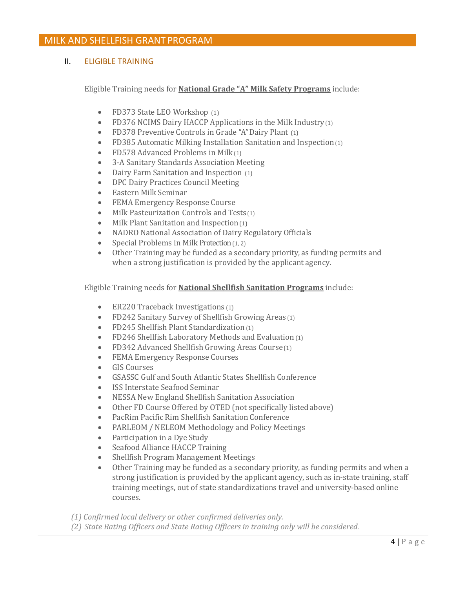### <span id="page-5-0"></span>II. ELIGIBLE TRAINING

Eligible Training needs for **National Grade "A" Milk Safety Programs** include:

- FD373 State LEO Workshop (1)
- FD376 NCIMS Dairy HACCP Applications in the Milk Industry (1)
- FD378 Preventive Controls in Grade "A" Dairy Plant (1)
- FD385 Automatic Milking Installation Sanitation and Inspection(1)
- FD578 Advanced Problems in Milk(1)
- 3-A Sanitary Standards Association Meeting
- Dairy Farm Sanitation and Inspection (1)
- DPC Dairy Practices Council Meeting
- Eastern Milk Seminar
- FEMA Emergency Response Course
- Milk Pasteurization Controls and Tests (1)
- Milk Plant Sanitation and Inspection(1)
- NADRO National Association of Dairy Regulatory Officials
- Special Problems in Milk Protection (1, 2)
- Other Training may be funded as a secondary priority, as funding permits and when a strong justification is provided by the applicant agency.

Eligible Training needs for **National Shellfish Sanitation Programs** include:

- ER220 Traceback Investigations (1)
- FD242 Sanitary Survey of Shellfish Growing Areas (1)
- FD245 Shellfish Plant Standardization(1)
- FD246 Shellfish Laboratory Methods and Evaluation (1)
- FD342 Advanced Shellfish Growing Areas Course(1)
- FEMA Emergency Response Courses
- GIS Courses
- GSASSC Gulf and South Atlantic States Shellfish Conference
- ISS Interstate Seafood Seminar
- NESSA New England Shellfish Sanitation Association
- Other FD Course Offered by OTED (not specifically listed above)
- PacRim Pacific Rim Shellfish Sanitation Conference
- PARLEOM / NELEOM Methodology and Policy Meetings
- Participation in a Dye Study
- Seafood Alliance HACCP Training
- Shellfish Program Management Meetings
- Other Training may be funded as a secondary priority, as funding permits and when a strong justification is provided by the applicant agency, such as in-state training, staff training meetings, out of state standardizations travel and university-based online courses.

*(1) Confirmed local delivery or other confirmed deliveries only.*

*(2) State Rating Officers and State Rating Officers in training only will be considered.*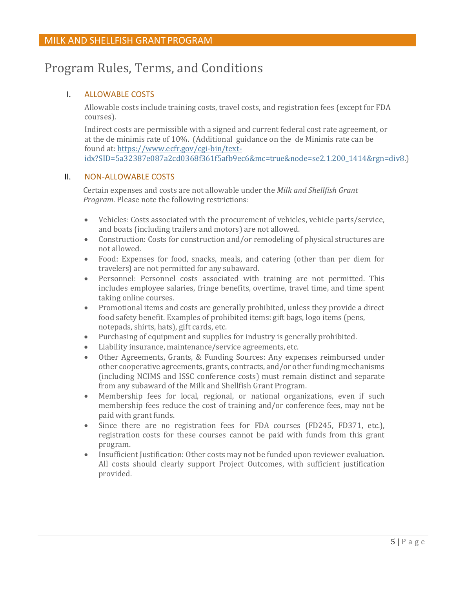### <span id="page-6-1"></span><span id="page-6-0"></span>Program Rules, Terms, and Conditions

### I. ALLOWABLE COSTS

Allowable costs include training costs, travel costs, and registration fees (except for FDA courses).

Indirect costs are permissible with a signed and current federal cost rate agreement, or at the de minimis rate of 10%. (Additional guidance on the de Minimis rate can be found at: [https://www.e](http://www.ecfr.gov/cgi-bin/text-)cf[r.gov/cgi-bin/text](http://www.ecfr.gov/cgi-bin/text-)idx?SID=5a32387e087a2cd0368f361f5afb9ec6&mc=true&node=se2.1.200\_1414&rgn=div8.)

### <span id="page-6-2"></span>II. NON-ALLOWABLE COSTS

Certain expenses and costs are not allowable under the *Milk and Shellfish Grant Program*. Please note the following restrictions:

- Vehicles: Costs associated with the p[rocurement of vehicles, vehicle parts/service](https://www.faa.gov/uas/public_safety_gov/), and boats (including trailers and motors) are not allowed.
- Construction: Costs for construction and/or remodeling of physical structures are not allowed.
- Food: Expenses for food, snacks, meals, and catering (other than per diem for travelers) are not permitted for any subaward.
- Personnel: Personnel costs associated with training are not permitted. This includes employee salaries, fringe benefits, overtime, travel time, and time spent taking online courses.
- Promotional items and costs are generally prohibited, unless they provide a direct food safety benefit. Examples of prohibited items: gift bags, logo items (pens, notepads, shirts, hats), gift cards, etc.
- Purchasing of equipment and supplies for industry is generally prohibited.
- Liability insurance, maintenance/service agreements, etc.
- Other Agreements, Grants, & Funding Sources: Any expenses reimbursed under other cooperative agreements, grants, contracts, and/or other funding mechanisms (including NCIMS and ISSC conference costs) must remain distinct and separate from any subaward of the Milk and Shellfish Grant Program.
- Membership fees for local, regional, or national organizations, even if such membership fees reduce the cost of training and/or conference fees, may not be paid with grant funds.
- Since there are no registration fees for FDA courses (FD245, FD371, etc.), registration costs for these courses cannot be paid with funds from this grant program.
- Insufficient Justification: Other costs may not be funded upon reviewer evaluation. All costs should clearly support Project Outcomes, with sufficient justification provided.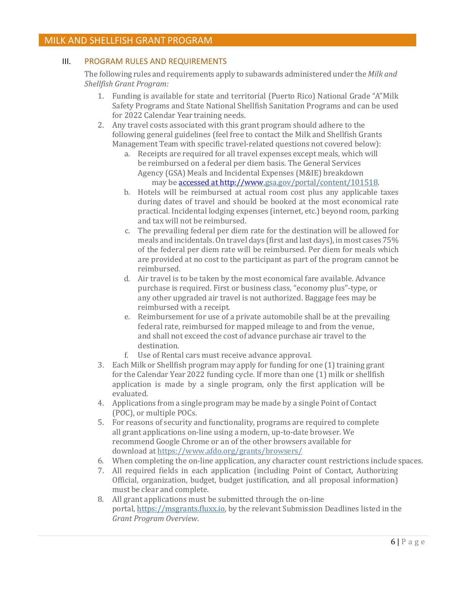### <span id="page-7-0"></span>III. PROGRAM RULES AND REQUIREMENTS

The following rules and requirements apply to subawards administered under the *Milk and Shellfish Grant Program:*

- 1. Funding is available for state and territorial (Puerto Rico) National Grade "A" Milk Safety Programs and State National Shellfish Sanitation Programs and can be used for 2022 Calendar Year training needs.
- 2. Any travel costs associated with this grant program should adhere to the following general guidelines (feel free to contact the Milk and Shellfish Grants Management Team with specific travel-related questions not covered below):
	- a. Receipts are required for all travel expenses except meals, which will be reimbursed on a federal per diem basis. The General Services Agency (GSA) Meals and Incidental Expenses (M&IE) breakdown may be accessed at http://www.gsa.gov/portal/content/101518.
	- b. Hotels will be reimbursed at actual room cost plus any applicable taxes during dates of travel and should be booked at the most economical rate practical. Incidental lodging expenses (internet, etc.) beyond room, parking and tax will not be reimbursed.
	- c. The prevailing federal per diem rate for the destination will be allowed for meals and incidentals. On travel days (first and last days), in most cases 75% of the federal per diem rate will be reimbursed. Per diem for meals which are provided at no cost to the participant as part of the program cannot be reimbursed.
	- d. Air travel is to be taken by the most economical fare available. Advance purchase is required. First or business class, "economy plus"-type, or any other upgraded air travel is not authorized. Baggage fees may be reimbursed with a receipt.
	- e. Reimbursement for use of a private automobile shall be at the prevailing federal rate, reimbursed for mapped mileage to and from the venue, and shall not exceed the cost of advance purchase air travel to the destination.
	- f. Use of Rental cars must receive advance approval.
- 3. Each Milk or Shellfish program may apply for funding for one  $(1)$  training grant for the Calendar Year 2022 funding cycle. If more than one (1) milk or shellfish application is made by a single program, only the first application will be evaluated.
- 4. Applications from a single program may be made by a single Point of Contact (POC), or multiple POCs.
- 5. For reasons of security and functionality, programs are required to complete all grant applications on-line using a modern, up-to-date browser. We recommend Google Chrome or an of the other browsers available for download at https://www.afdo.org/grants/browsers/
- 6. When completing the on-line application, any character count restrictions include spaces.
- 7. All required fields in each application (including Point of Contact, Authorizing Official, organization, budget, budget justification, and all proposal information) must be clear and complete.
- 8. All grant applications must be submitted through the on-line portal, https://msgrants.fluxx.io, by the relevant Submission Deadlines listed in the *Grant Program Overview*.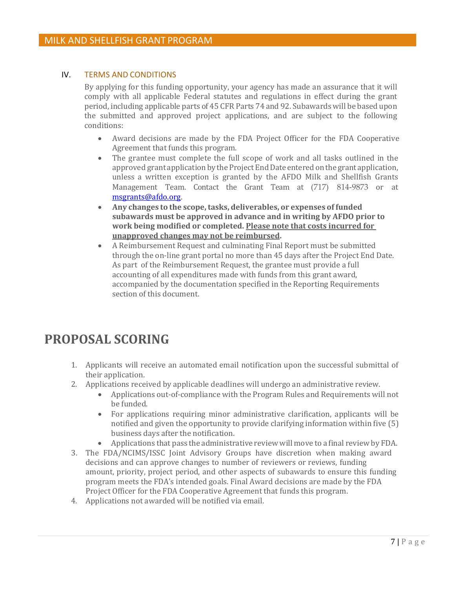### <span id="page-8-0"></span>IV. TERMS AND CONDITIONS

By applying for this funding opportunity, your agency has made an assurance that it will comply with all applicable Federal statutes and regulations in effect during the grant period, including applicable parts of 45 CFR Parts 74 and 92. Subawards will be based upon the submitted and approved project applications, and are subject to the following conditions:

- Award decisions are made by the FDA Project Officer for the FDA Cooperative Agreement that funds this program.
- The grantee must complete the full scope of work and all tasks outlined in the approved grant application by the Project End Date entered on the grant application, unless a written exception is granted by the AFDO Milk and Shellfish Grants Management Team. Contact the Grant Team at (717) 814-9873 or at [msgrants@afdo.org.](mailto:msgrants@afdo.org)
- **Any changes to the scope,tasks, deliverables, or expenses of funded subawards must be approved in advance and in writing by AFDO prior to work being modified or completed. Please note that costs incurred for unapproved changes may not be reimbursed.**
- A Reimbursement Request and culminating Final Report must be submitted through the on-line grant portal no more than 45 days after the Project End Date. As part of the Reimbursement Request, the grantee must provide a full accounting of all expenditures made with funds from this grant award, accompanied by the documentation specified in the Reporting Requirements section of this document.

### <span id="page-8-1"></span>**PROPOSAL SCORING**

- 1. Applicants will receive an automated email notification upon the successful submittal of their application.
- 2. Applications received by applicable deadlines will undergo an administrative review.
	- Applications out-of-compliance with the Program Rules and Requirements will not be funded.
	- For applications requiring minor administrative clarification, applicants will be notified and given the opportunity to provide clarifying information within five (5) business days after the notification.
	- Applications that pass the administrative review will move to a final review by FDA.
- 3. The FDA/NCIMS/ISSC Joint Advisory Groups have discretion when making award decisions and can approve changes to number of reviewers or reviews, funding amount, priority, project period, and other aspects of subawards to ensure this funding program meets the FDA's intended goals. Final Award decisions are made by the FDA Project Officer for the FDA Cooperative Agreement that funds this program.
- 4. Applications not awarded will be notified via email.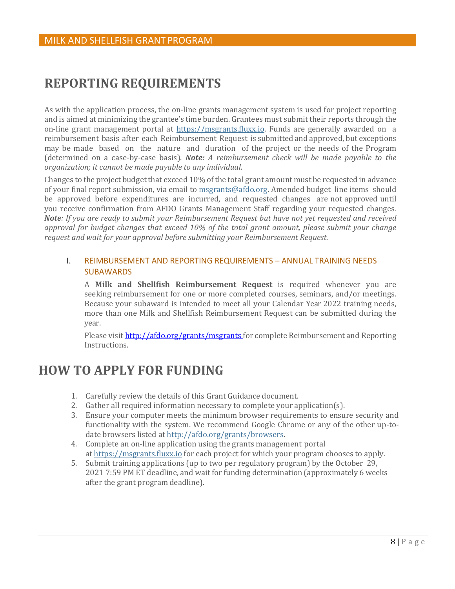### <span id="page-9-0"></span>**REPORTING REQUIREMENTS**

As with the application process, the on-line grants management system is used for project reporting and is aimed at minimizing the grantee's time burden. Grantees must submit their reports through the on-line grant management portal at [https://msgrants.fluxx.io.](https://msgrants.fluxx.io/) Funds are generally awarded on a reimbursement basis after each Reimbursement Request is submitted and approved, but exceptions may be made based on the nature and duration of the project or the needs of the Program (determined on a case-by-case basis). *Note: A reimbursement check will be made payable to the organization; it cannot be made payable to any individual*.

Changes to the project budget that exceed 10% of the total grant amount must be requested in advance of your final report submission, via email to [msgrants@afdo.org.](mailto:msgrants@afdo.org) Amended budget line items should be approved before expenditures are incurred, and requested changes are not approved until you receive confirmation from AFDO Grants Management Staff regarding your requested changes*. Note: If you are ready to submit your Reimbursement Request but have not yet requested and received approval for budget changes that exceed 10% of the total grant amount, please submit your change request and wait for your approval before submitting your Reimbursement Request.*

### <span id="page-9-1"></span>I. REIMBURSEMENT AND REPORTING REQUIREMENTS – ANNUAL TRAINING NEEDS SUBAWARDS

A **Milk and Shellfish Reimbursement Request** is required whenever you are seeking reimbursement for one or more completed courses, seminars, and/or meetings. Because your subaward is intended to meet all your Calendar Year 2022 training needs, more than one Milk and Shellfish Reimbursement Request can be submitted during the year.

Please visi[t http://afdo.org/grants/msgrants f](http://afdo.org/grants/msgrants)or complete Reimbursement and Reporting Instructions.

### <span id="page-9-2"></span>**HOW TO APPLY FOR FUNDING**

- 1. Carefully review the details of this Grant Guidance document.
- 2. Gather all required information necessary to complete your application(s).
- 3. Ensure your computer meets the minimum browser requirements to ensure security and functionality with the system. We recommend Google Chrome or any of the other up-todate browsers listed at [http://afdo.org/grants/browsers.](http://afdo.org/msgrants/browsers)
- 4. Complete an on-line application using the grants management portal [at https://msgrants.fluxx.io](https://msgrants.fluxx.io/) for each project for which your program chooses to apply.
- 5. Submit training applications (up to two per regulatory program) by the October 29, 2021 7:59 PM ET deadline, and wait for funding determination (approximately 6 weeks after the grant program deadline).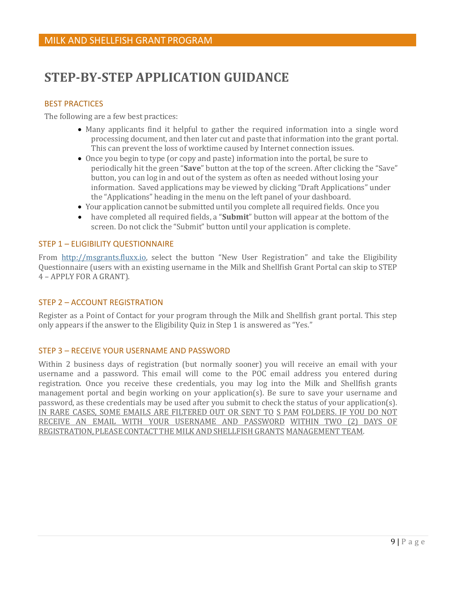### <span id="page-10-1"></span><span id="page-10-0"></span>**STEP-BY-STEP APPLICATION GUIDANCE**

### BEST PRACTICES

The following are a few best practices:

- Many applicants find it helpful to gather the required information into a single word processing document, and then later cut and paste that information into the grant portal. This can prevent the loss of worktime caused by Internet connection issues.
- Once you begin to type (or copy and paste) information into the portal, be sure to periodically hit the green "**Save**" button at the top of the screen. After clicking the "Save" button, you can log in and out of the system as often as needed without losing your information. Saved applications may be viewed by clicking "Draft Applications" under the "Applications" heading in the menu on the left panel of your dashboard.
- Your application cannot be submitted until you complete all required fields. Once you
- have completed all required fields, a "**Submit**" button will appear at the bottom of the screen. Do not click the "Submit" button until your application is complete.

#### <span id="page-10-2"></span>STEP 1 – ELIGIBILITY QUESTIONNAIRE

From [http://msgrants.fluxx.io, s](http://msgrants.fluxx.io/)elect the button "New User Registration" and take the Eligibility Questionnaire (users with an existing username in the Milk and Shellfish Grant Portal can skip to STEP 4 – APPLY FOR A GRANT).

### <span id="page-10-3"></span>STEP 2 – ACCOUNT REGISTRATION

Register as a Point of Contact for your program through the Milk and Shellfish grant portal. This step only appears if the answer to the Eligibility Quiz in Step 1 is answered as "Yes."

#### <span id="page-10-4"></span>STEP 3 – RECEIVE YOUR USERNAME AND PASSWORD

<span id="page-10-5"></span>Within 2 business days of registration (but normally sooner) you will receive an email with your username and a password. This email will come to the POC email address you entered during registration. Once you receive these credentials, you may log into the Milk and Shellfish grants management portal and begin working on your application(s). Be sure to save your username and password, as these credentials may be used after you submit to check the status of your application(s). IN RARE CASES, SOME EMAILS ARE FILTERED OUT OR SENT TO S PAM FOLDERS. IF YOU DO NOT RECEIVE AN EMAIL WITH YOUR USERNAME AND PASSWORD WITHIN TWO (2) DAYS OF REGISTRATION, PLEASE CONTACT THE MILK AND SHELLFISH GRANTS MANAGEMENT TEAM.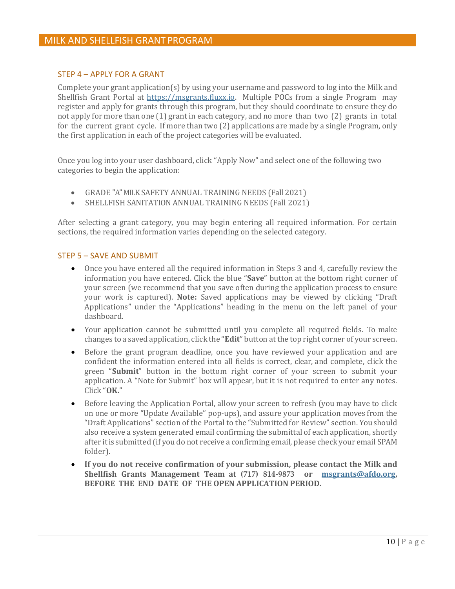### STEP 4 – APPLY FOR A GRANT

Complete your grant application(s) by using your username and password to log into the Milk and Shellfish Grant Portal at [https://msgrants.fluxx.io.](https://msgrants.fluxx.io/) Multiple POCs from a single Program may register and apply for grants through this program, but they should coordinate to ensure they do not apply for more than one (1) grant in each category, and no more than two (2) grants in total for the current grant cycle. If more than two (2) applications are made by a single Program, only the first application in each of the project categories will be evaluated.

Once you log into your user dashboard, click "Apply Now" and select one of the following two categories to begin the application:

- GRADE "A" MILK SAFETY ANNUAL TRAINING NEEDS (Fall 2021)
- SHELLFISH SANITATION ANNUAL TRAINING NEEDS (Fall 2021)

After selecting a grant category, you may begin entering all required information. For certain sections, the required information varies depending on the selected category.

#### <span id="page-11-0"></span>STEP 5 – SAVE AND SUBMIT

- Once you have entered all the required information in Steps 3 and 4, carefully review the information you have entered. Click the blue "**Save**" button at the bottom right corner of your screen (we recommend that you save often during the application process to ensure your work is captured). **Note:** Saved applications may be viewed by clicking "Draft Applications" under the "Applications" heading in the menu on the left panel of your dashboard.
- Your application cannot be submitted until you complete all required fields. To make changes to a saved application, click the "**Edit**" button at the top right corner of your screen.
- Before the grant program deadline, once you have reviewed your application and are confident the information entered into all fields is correct, clear, and complete, click the green "**Submit**" button in the bottom right corner of your screen to submit your application. A "Note for Submit" box will appear, but it is not required to enter any notes. Click "**OK.**"
- Before leaving the Application Portal, allow your screen to refresh (you may have to click on one or more "Update Available" pop-ups), and assure your application moves from the "Draft Applications" section of the Portal to the "Submitted for Review" section. You should also receive a system generated email confirming the submittal of each application, shortly after itis submitted (if you do not receive a confirming email, please check your email SPAM folder).
- **If you do not receive confirmation of your submission, please contact the Milk and Shellfish Grants Management Team at (717) 814-9873 or [msgrants@afdo.org,](mailto:msgrants@afdo.org)  BEFORE THE END DATE OF THE OPEN APPLICATION PERIOD.**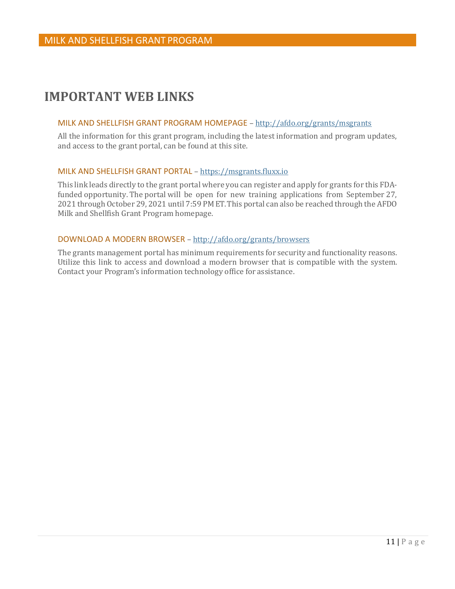### <span id="page-12-0"></span>**IMPORTANT WEB LINKS**

### MILK AND SHELLFISH GRANT PROGRAM HOMEPAGE – [http://afdo.org/grants/m](http://afdo.org/msgrants)sgrants

All the information for this grant program, including the latest information and program updates, and access to the grant portal, can be found at this site.

#### MILK AND SHELLFISH GRANT PORTAL – [https://msgrants.fluxx.io](https://msgrants.fluxx.io/)

This link leads directly to the grant portal where you can register and apply for grants for this FDAfunded opportunity. The portal will be open for new training applications from September 27, 2021 through October 29, 2021 until 7:59 PM ET. This portal can also be reached through the AFDO Milk and Shellfish Grant Program homepage.

#### DOWNLOAD A MODERN BROWSER – [http://afdo.org/grants/browsers](http://afdo.org/msgrants/browsers)

The grants management portal has minimum requirements for security and functionality reasons. Utilize this link to access and download a modern browser that is compatible with the system. Contact your Program's information technology office for assistance.